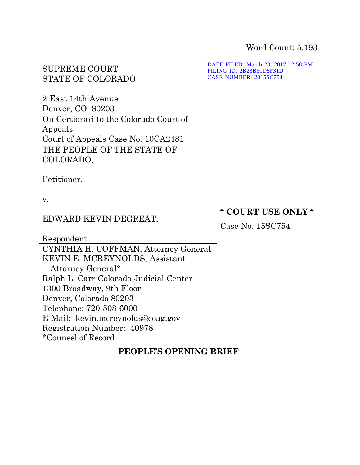|                                        | DATE FILED: March 20, 2017 12:58 PM                                                                                     |  |
|----------------------------------------|-------------------------------------------------------------------------------------------------------------------------|--|
| <b>SUPREME COURT</b>                   | FIL<br>ING ID: 2B23B61D5F31D                                                                                            |  |
| <b>STATE OF COLORADO</b>               | <b>CASE NUMBER: 2015SC754</b>                                                                                           |  |
|                                        |                                                                                                                         |  |
| 2 East 14th Avenue                     |                                                                                                                         |  |
| Denver, CO 80203                       |                                                                                                                         |  |
| On Certiorari to the Colorado Court of |                                                                                                                         |  |
| Appeals                                |                                                                                                                         |  |
| Court of Appeals Case No. 10CA2481     |                                                                                                                         |  |
| THE PEOPLE OF THE STATE OF             |                                                                                                                         |  |
| COLORADO,                              |                                                                                                                         |  |
|                                        |                                                                                                                         |  |
| Petitioner,                            |                                                                                                                         |  |
|                                        |                                                                                                                         |  |
| v.                                     |                                                                                                                         |  |
|                                        | $\textcolor{red}{\textbf{\textcolor{blue}{\sim}}}$ COURT USE ONLY $\textcolor{red}{\textbf{\textcolor{blue}{\bullet}}}$ |  |
| EDWARD KEVIN DEGREAT,                  |                                                                                                                         |  |
|                                        | Case No. 15SC754                                                                                                        |  |
| Respondent.                            |                                                                                                                         |  |
| CYNTHIA H. COFFMAN, Attorney General   |                                                                                                                         |  |
| <b>KEVIN E. MCREYNOLDS, Assistant</b>  |                                                                                                                         |  |
| Attorney General*                      |                                                                                                                         |  |
| Ralph L. Carr Colorado Judicial Center |                                                                                                                         |  |
| 1300 Broadway, 9th Floor               |                                                                                                                         |  |
| Denver, Colorado 80203                 |                                                                                                                         |  |
| Telephone: 720-508-6000                |                                                                                                                         |  |
| E-Mail: kevin.mcreynolds@coag.gov      |                                                                                                                         |  |
| Registration Number: 40978             |                                                                                                                         |  |
| *Counsel of Record                     |                                                                                                                         |  |
|                                        |                                                                                                                         |  |
| PEOPLE'S OPENING BRIEF                 |                                                                                                                         |  |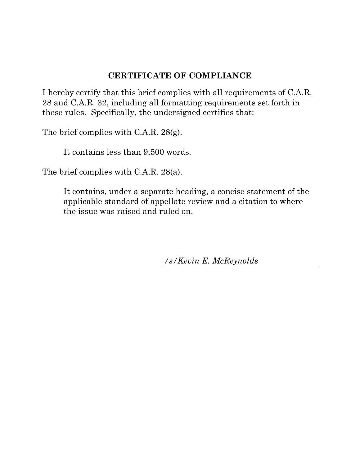## **CERTIFICATE OF COMPLIANCE**

<span id="page-1-0"></span>I hereby certify that this brief complies with all requirements of C.A.R. 28 and C.A.R. 32, including all formatting requirements set forth in these rules. Specifically, the undersigned certifies that:

The brief complies with C.A.R. 28(g).

It contains less than 9,500 words.

The brief complies with C.A.R. 28(a).

It contains, under a separate heading, a concise statement of the applicable standard of appellate review and a citation to where the issue was raised and ruled on.

*/s/Kevin E. McReynolds*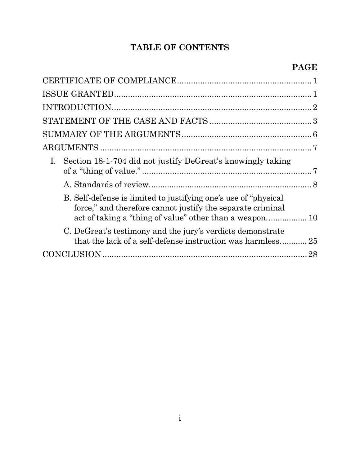# **TABLE OF CONTENTS**

| Section 18-1-704 did not justify DeGreat's knowingly taking<br>B. Self-defense is limited to justifying one's use of "physical"<br>force," and therefore cannot justify the separate criminal<br>C. DeGreat's testimony and the jury's verdicts demonstrate<br>that the lack of a self-defense instruction was harmless 25 |  |
|----------------------------------------------------------------------------------------------------------------------------------------------------------------------------------------------------------------------------------------------------------------------------------------------------------------------------|--|
|                                                                                                                                                                                                                                                                                                                            |  |
|                                                                                                                                                                                                                                                                                                                            |  |
|                                                                                                                                                                                                                                                                                                                            |  |
|                                                                                                                                                                                                                                                                                                                            |  |
|                                                                                                                                                                                                                                                                                                                            |  |
|                                                                                                                                                                                                                                                                                                                            |  |
|                                                                                                                                                                                                                                                                                                                            |  |
|                                                                                                                                                                                                                                                                                                                            |  |
|                                                                                                                                                                                                                                                                                                                            |  |
|                                                                                                                                                                                                                                                                                                                            |  |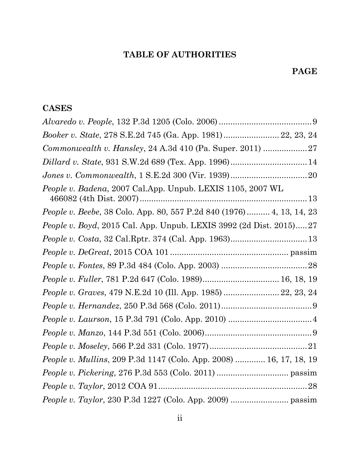# **TABLE OF AUTHORITIES**

## **PAGE**

## **CASES**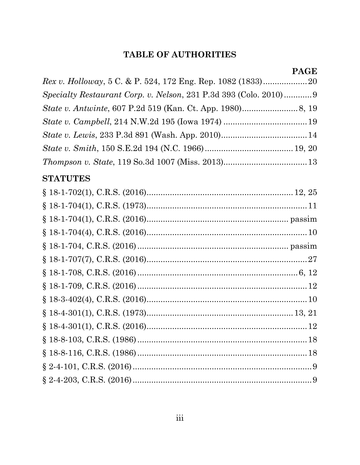## **TABLE OF AUTHORITIES**

| Rex v. Holloway, 5 C. & P. 524, 172 Eng. Rep. 1082 (1833)20      |
|------------------------------------------------------------------|
| Specialty Restaurant Corp. v. Nelson, 231 P.3d 393 (Colo. 2010)9 |
|                                                                  |
|                                                                  |
|                                                                  |
|                                                                  |
|                                                                  |
| <b>STATUTES</b>                                                  |
|                                                                  |
|                                                                  |
|                                                                  |
|                                                                  |
|                                                                  |
|                                                                  |
|                                                                  |
|                                                                  |
|                                                                  |
|                                                                  |
|                                                                  |
|                                                                  |
|                                                                  |
|                                                                  |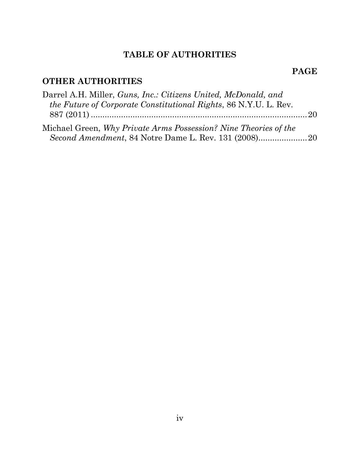# **TABLE OF AUTHORITIES**

## **PAGE**

# **OTHER AUTHORITIES**

| Darrel A.H. Miller, <i>Guns, Inc.: Citizens United, McDonald, and</i>   |  |
|-------------------------------------------------------------------------|--|
| <i>the Future of Corporate Constitutional Rights, 86 N.Y.U. L. Rev.</i> |  |
|                                                                         |  |
| Michael Green, Why Private Arms Possession? Nine Theories of the        |  |
|                                                                         |  |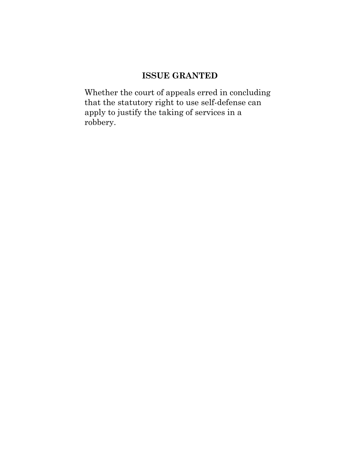## **ISSUE GRANTED**

<span id="page-6-0"></span>Whether the court of appeals erred in concluding that the statutory right to use self-defense can apply to justify the taking of services in a robbery.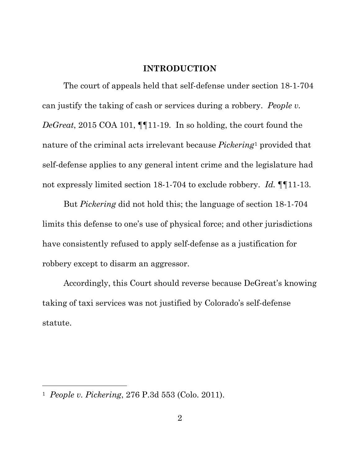### **INTRODUCTION**

<span id="page-7-0"></span>The court of appeals held that self-defense under section 18-1-704 can justify the taking of cash or services during a robbery. *People v. DeGreat*, 2015 COA 101, ¶¶11-19. In so holding, the court found the nature of the criminal acts irrelevant because *Pickering*[1](#page-7-1) provided that self-defense applies to any general intent crime and the legislature had not expressly limited section 18-1-704 to exclude robbery. *Id.* ¶¶11-13.

But *Pickering* did not hold this; the language of section 18-1-704 limits this defense to one's use of physical force; and other jurisdictions have consistently refused to apply self-defense as a justification for robbery except to disarm an aggressor.

Accordingly, this Court should reverse because DeGreat's knowing taking of taxi services was not justified by Colorado's self-defense statute.

l

<span id="page-7-1"></span><sup>1</sup> *People v. Pickering*, 276 P.3d 553 (Colo. 2011).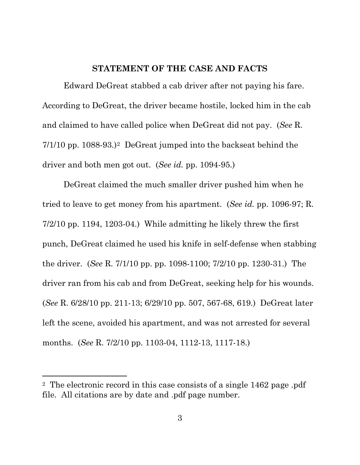### **STATEMENT OF THE CASE AND FACTS**

<span id="page-8-0"></span>Edward DeGreat stabbed a cab driver after not paying his fare. According to DeGreat, the driver became hostile, locked him in the cab and claimed to have called police when DeGreat did not pay. (*See* R. 7/1/10 pp. 1088-93.)[2](#page-8-1) DeGreat jumped into the backseat behind the driver and both men got out. (*See id.* pp. 1094-95.)

DeGreat claimed the much smaller driver pushed him when he tried to leave to get money from his apartment. (*See id.* pp. 1096-97; R. 7/2/10 pp. 1194, 1203-04.) While admitting he likely threw the first punch, DeGreat claimed he used his knife in self-defense when stabbing the driver. (*See* R. 7/1/10 pp. pp. 1098-1100; 7/2/10 pp. 1230-31.) The driver ran from his cab and from DeGreat, seeking help for his wounds. (*See* R. 6/28/10 pp. 211-13; 6/29/10 pp. 507, 567-68, 619.) DeGreat later left the scene, avoided his apartment, and was not arrested for several months. (*See* R. 7/2/10 pp. 1103-04, 1112-13, 1117-18.)

 $\overline{a}$ 

<span id="page-8-1"></span><sup>2</sup> The electronic record in this case consists of a single 1462 page .pdf file. All citations are by date and .pdf page number.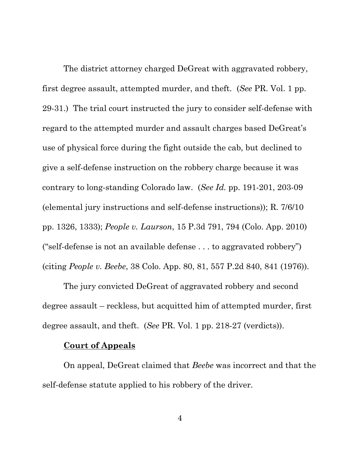The district attorney charged DeGreat with aggravated robbery, first degree assault, attempted murder, and theft. (*See* PR. Vol. 1 pp. 29-31.) The trial court instructed the jury to consider self-defense with regard to the attempted murder and assault charges based DeGreat's use of physical force during the fight outside the cab, but declined to give a self-defense instruction on the robbery charge because it was contrary to long-standing Colorado law. (*See Id.* pp. 191-201, 203-09 (elemental jury instructions and self-defense instructions)); R. 7/6/10 pp. 1326, 1333); *People v. Laurson*, 15 P.3d 791, 794 (Colo. App. 2010) ("self-defense is not an available defense . . . to aggravated robbery") (citing *People v. Beebe*, 38 Colo. App. 80, 81, 557 P.2d 840, 841 (1976)).

The jury convicted DeGreat of aggravated robbery and second degree assault – reckless, but acquitted him of attempted murder, first degree assault, and theft. (*See* PR. Vol. 1 pp. 218-27 (verdicts)).

#### **Court of Appeals**

On appeal, DeGreat claimed that *Beebe* was incorrect and that the self-defense statute applied to his robbery of the driver.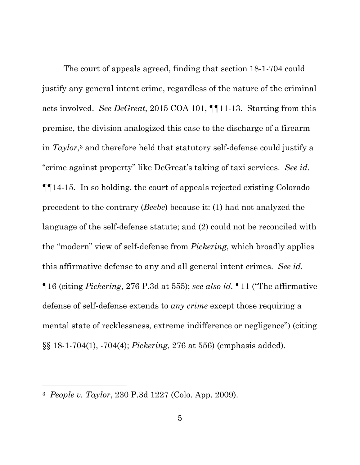The court of appeals agreed, finding that section 18-1-704 could justify any general intent crime, regardless of the nature of the criminal acts involved. *See DeGreat*, 2015 COA 101, ¶¶11-13. Starting from this premise, the division analogized this case to the discharge of a firearm in *Taylor*,[3](#page-10-0) and therefore held that statutory self-defense could justify a "crime against property" like DeGreat's taking of taxi services. *See id.*  ¶¶14-15. In so holding, the court of appeals rejected existing Colorado precedent to the contrary (*Beebe*) because it: (1) had not analyzed the language of the self-defense statute; and (2) could not be reconciled with the "modern" view of self-defense from *Pickering*, which broadly applies this affirmative defense to any and all general intent crimes. *See id.*  ¶16 (citing *Pickering*, 276 P.3d at 555); *see also id.* ¶11 ("The affirmative defense of self-defense extends to *any crime* except those requiring a mental state of recklessness, extreme indifference or negligence") (citing §§ 18-1-704(1), -704(4); *Pickering*, 276 at 556) (emphasis added).

l

<span id="page-10-0"></span><sup>3</sup> *People v. Taylor*, 230 P.3d 1227 (Colo. App. 2009).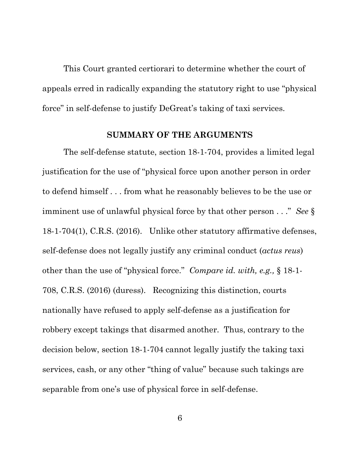This Court granted certiorari to determine whether the court of appeals erred in radically expanding the statutory right to use "physical force" in self-defense to justify DeGreat's taking of taxi services.

#### **SUMMARY OF THE ARGUMENTS**

<span id="page-11-0"></span>The self-defense statute, section 18-1-704, provides a limited legal justification for the use of "physical force upon another person in order to defend himself . . . from what he reasonably believes to be the use or imminent use of unlawful physical force by that other person . . ." *See* § 18-1-704(1), C.R.S. (2016). Unlike other statutory affirmative defenses, self-defense does not legally justify any criminal conduct (*actus reus*) other than the use of "physical force." *Compare id. with, e.g.,* § 18-1- 708, C.R.S. (2016) (duress). Recognizing this distinction, courts nationally have refused to apply self-defense as a justification for robbery except takings that disarmed another. Thus, contrary to the decision below, section 18-1-704 cannot legally justify the taking taxi services, cash, or any other "thing of value" because such takings are separable from one's use of physical force in self-defense.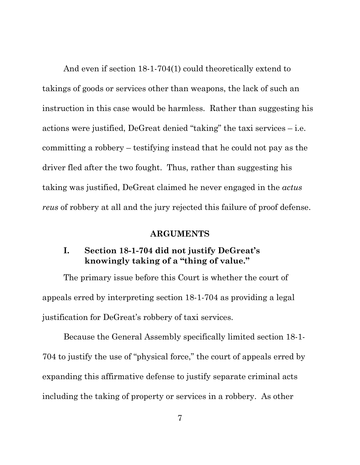And even if section 18-1-704(1) could theoretically extend to takings of goods or services other than weapons, the lack of such an instruction in this case would be harmless. Rather than suggesting his actions were justified, DeGreat denied "taking" the taxi services – i.e. committing a robbery – testifying instead that he could not pay as the driver fled after the two fought. Thus, rather than suggesting his taking was justified, DeGreat claimed he never engaged in the *actus reus* of robbery at all and the jury rejected this failure of proof defense.

### **ARGUMENTS**

## <span id="page-12-1"></span><span id="page-12-0"></span>**I. Section 18-1-704 did not justify DeGreat's knowingly taking of a "thing of value."**

The primary issue before this Court is whether the court of appeals erred by interpreting section 18-1-704 as providing a legal justification for DeGreat's robbery of taxi services.

Because the General Assembly specifically limited section 18-1- 704 to justify the use of "physical force," the court of appeals erred by expanding this affirmative defense to justify separate criminal acts including the taking of property or services in a robbery. As other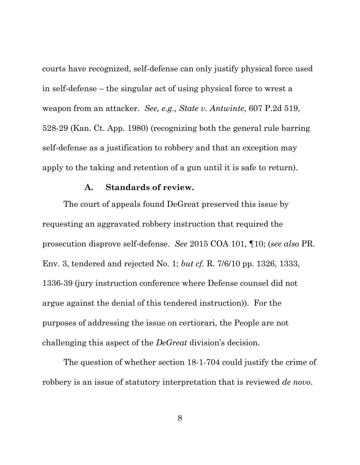courts have recognized, self-defense can only justify physical force used in self-defense – the singular act of using physical force to wrest a weapon from an attacker. *See, e.g., State v. Antwinte*, 607 P.2d 519, 528-29 (Kan. Ct. App. 1980) (recognizing both the general rule barring self-defense as a justification to robbery and that an exception may apply to the taking and retention of a gun until it is safe to return).

#### **A. Standards of review.**

<span id="page-13-0"></span>The court of appeals found DeGreat preserved this issue by requesting an aggravated robbery instruction that required the prosecution disprove self-defense. *See* 2015 COA 101, ¶10; (*see also* PR. Env. 3, tendered and rejected No. 1; *but cf.* R. 7/6/10 pp. 1326, 1333, 1336-39 (jury instruction conference where Defense counsel did not argue against the denial of this tendered instruction)). For the purposes of addressing the issue on certiorari, the People are not challenging this aspect of the *DeGreat* division's decision.

The question of whether section 18-1-704 could justify the crime of robbery is an issue of statutory interpretation that is reviewed *de novo*.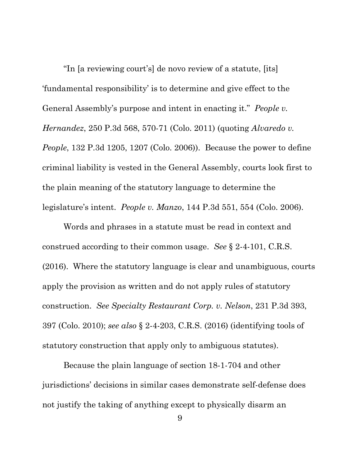"In [a reviewing court's] de novo review of a statute, [its] 'fundamental responsibility' is to determine and give effect to the General Assembly's purpose and intent in enacting it." *People v. Hernandez*, 250 P.3d 568, 570-71 (Colo. 2011) (quoting *Alvaredo v. People*, 132 P.3d 1205, 1207 (Colo. 2006)). Because the power to define criminal liability is vested in the General Assembly, courts look first to the plain meaning of the statutory language to determine the legislature's intent. *People v. Manzo*, 144 P.3d 551, 554 (Colo. 2006).

Words and phrases in a statute must be read in context and construed according to their common usage. *See* § 2-4-101, C.R.S. (2016). Where the statutory language is clear and unambiguous, courts apply the provision as written and do not apply rules of statutory construction. *See Specialty Restaurant Corp. v. Nelson*, 231 P.3d 393, 397 (Colo. 2010); *see also* § 2-4-203, C.R.S. (2016) (identifying tools of statutory construction that apply only to ambiguous statutes).

Because the plain language of section 18-1-704 and other jurisdictions' decisions in similar cases demonstrate self-defense does not justify the taking of anything except to physically disarm an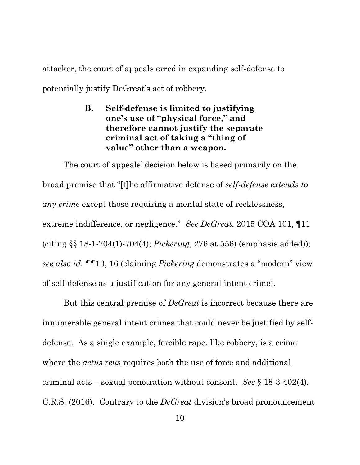<span id="page-15-0"></span>attacker, the court of appeals erred in expanding self-defense to potentially justify DeGreat's act of robbery.

> **B. Self-defense is limited to justifying one's use of "physical force, " and therefore cannot justify the separate criminal act of taking a "thing of value" other than a weapon.**

The court of appeals' decision below is based primarily on the broad premise that "[t]he affirmative defense of *self-defense extends to any crime* except those requiring a mental state of recklessness, extreme indifference, or negligence." *See DeGreat*, 2015 COA 101, ¶11 (citing §§ 18-1-704(1)-704(4); *Pickering*, 276 at 556) (emphasis added)); *see also id.* ¶¶13, 16 (claiming *Pickering* demonstrates a "modern" view of self-defense as a justification for any general intent crime).

But this central premise of *DeGreat* is incorrect because there are innumerable general intent crimes that could never be justified by selfdefense. As a single example, forcible rape, like robbery, is a crime where the *actus reus* requires both the use of force and additional criminal acts – sexual penetration without consent. *See* § 18-3-402(4), C.R.S. (2016). Contrary to the *DeGreat* division's broad pronouncement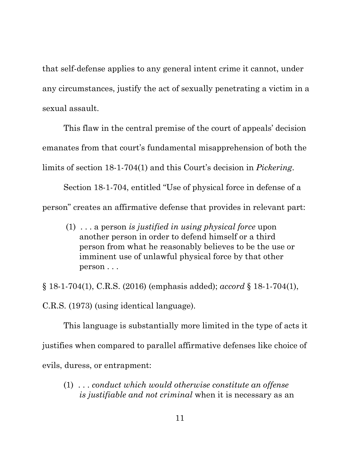that self-defense applies to any general intent crime it cannot, under any circumstances, justify the act of sexually penetrating a victim in a sexual assault.

This flaw in the central premise of the court of appeals' decision emanates from that court's fundamental misapprehension of both the limits of section 18-1-704(1) and this Court's decision in *Pickering*.

Section 18-1-704, entitled "Use of physical force in defense of a person" creates an affirmative defense that provides in relevant part:

(1) . . . a person *is justified in using physical force* upon another person in order to defend himself or a third person from what he reasonably believes to be the use or imminent use of unlawful physical force by that other person . . .

§ 18-1-704(1), C.R.S. (2016) (emphasis added); *accord* § 18-1-704(1), C.R.S. (1973) (using identical language).

This language is substantially more limited in the type of acts it justifies when compared to parallel affirmative defenses like choice of evils, duress, or entrapment:

(1) . . . *conduct which would otherwise constitute an offense is justifiable and not criminal* when it is necessary as an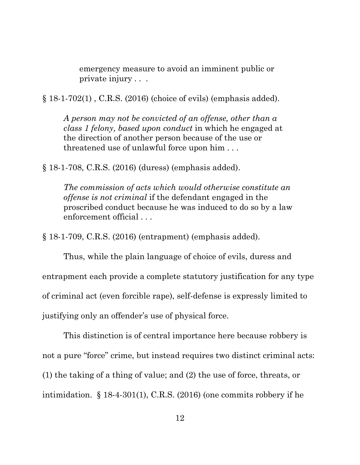emergency measure to avoid an imminent public or private injury . . .

§ 18-1-702(1) , C.R.S. (2016) (choice of evils) (emphasis added).

*A person may not be convicted of an offense, other than a class 1 felony, based upon conduct* in which he engaged at the direction of another person because of the use or threatened use of unlawful force upon him . . .

§ 18-1-708, C.R.S. (2016) (duress) (emphasis added).

*The commission of acts which would otherwise constitute an offense is not criminal* if the defendant engaged in the proscribed conduct because he was induced to do so by a law enforcement official . . .

§ 18-1-709, C.R.S. (2016) (entrapment) (emphasis added).

Thus, while the plain language of choice of evils, duress and entrapment each provide a complete statutory justification for any type of criminal act (even forcible rape), self-defense is expressly limited to justifying only an offender's use of physical force.

This distinction is of central importance here because robbery is not a pure "force" crime, but instead requires two distinct criminal acts: (1) the taking of a thing of value; and (2) the use of force, threats, or intimidation. § 18-4-301(1), C.R.S. (2016) (one commits robbery if he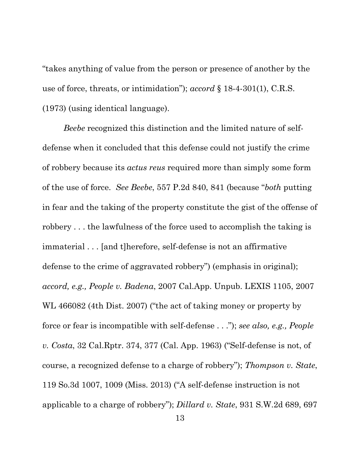"takes anything of value from the person or presence of another by the use of force, threats, or intimidation"); *accord* § 18-4-301(1), C.R.S. (1973) (using identical language).

*Beebe* recognized this distinction and the limited nature of selfdefense when it concluded that this defense could not justify the crime of robbery because its *actus reus* required more than simply some form of the use of force. *See Beebe*, 557 P.2d 840, 841 (because "*both* putting in fear and the taking of the property constitute the gist of the offense of robbery . . . the lawfulness of the force used to accomplish the taking is immaterial . . . [and t]herefore, self-defense is not an affirmative defense to the crime of aggravated robbery") (emphasis in original); *accord, e.g., People v. Badena*, 2007 Cal.App. Unpub. LEXIS 1105, 2007 WL 466082 (4th Dist. 2007) ("the act of taking money or property by force or fear is incompatible with self-defense . . ."); *see also, e.g., People v. Costa*, 32 Cal.Rptr. 374, 377 (Cal. App. 1963) ("Self-defense is not, of course, a recognized defense to a charge of robbery"); *Thompson v. State*, 119 So.3d 1007, 1009 (Miss. 2013) ("A self-defense instruction is not applicable to a charge of robbery"); *Dillard v. State*, 931 S.W.2d 689, 697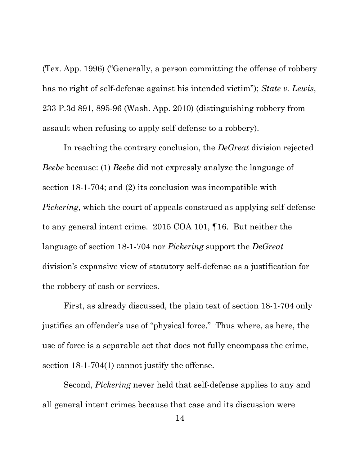(Tex. App. 1996) ("Generally, a person committing the offense of robbery has no right of self-defense against his intended victim"); *State v. Lewis*, 233 P.3d 891, 895-96 (Wash. App. 2010) (distinguishing robbery from assault when refusing to apply self-defense to a robbery).

In reaching the contrary conclusion, the *DeGreat* division rejected *Beebe* because: (1) *Beebe* did not expressly analyze the language of section 18-1-704; and (2) its conclusion was incompatible with *Pickering*, which the court of appeals construed as applying self-defense to any general intent crime. 2015 COA 101, ¶16. But neither the language of section 18-1-704 nor *Pickering* support the *DeGreat*  division's expansive view of statutory self-defense as a justification for the robbery of cash or services.

First, as already discussed, the plain text of section 18-1-704 only justifies an offender's use of "physical force." Thus where, as here, the use of force is a separable act that does not fully encompass the crime, section 18-1-704(1) cannot justify the offense.

Second, *Pickering* never held that self-defense applies to any and all general intent crimes because that case and its discussion were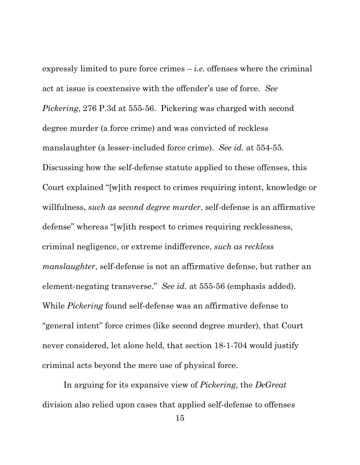expressly limited to pure force crimes – *i.e.* offenses where the criminal act at issue is coextensive with the offender's use of force. *See Pickering*, 276 P.3d at 555-56. Pickering was charged with second degree murder (a force crime) and was convicted of reckless manslaughter (a lesser-included force crime). *See id.* at 554-55. Discussing how the self-defense statute applied to these offenses, this Court explained "[w]ith respect to crimes requiring intent, knowledge or willfulness, *such as second degree murder*, self-defense is an affirmative defense" whereas "[w]ith respect to crimes requiring recklessness, criminal negligence, or extreme indifference, *such as reckless manslaughter*, self-defense is not an affirmative defense, but rather an element-negating transverse." *See id.* at 555-56 (emphasis added). While *Pickering* found self-defense was an affirmative defense to "general intent" force crimes (like second degree murder), that Court never considered, let alone held, that section 18-1-704 would justify criminal acts beyond the mere use of physical force.

In arguing for its expansive view of *Pickering*, the *DeGreat* division also relied upon cases that applied self-defense to offenses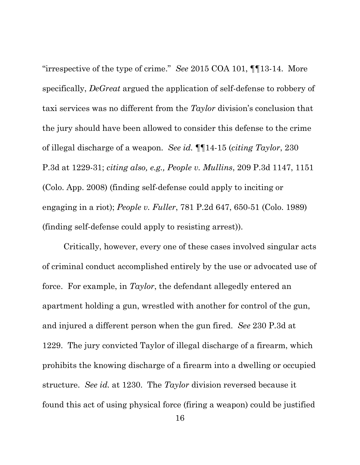"irrespective of the type of crime." *See* 2015 COA 101, ¶¶13-14. More specifically, *DeGreat* argued the application of self-defense to robbery of taxi services was no different from the *Taylor* division's conclusion that the jury should have been allowed to consider this defense to the crime of illegal discharge of a weapon. *See id.* ¶¶14-15 (*citing Taylor*, 230 P.3d at 1229-31; *citing also, e.g., People v. Mullins*, 209 P.3d 1147, 1151 (Colo. App. 2008) (finding self-defense could apply to inciting or engaging in a riot); *People v. Fuller*, 781 P.2d 647, 650-51 (Colo. 1989) (finding self-defense could apply to resisting arrest)).

Critically, however, every one of these cases involved singular acts of criminal conduct accomplished entirely by the use or advocated use of force. For example, in *Taylor*, the defendant allegedly entered an apartment holding a gun, wrestled with another for control of the gun, and injured a different person when the gun fired. *See* 230 P.3d at 1229. The jury convicted Taylor of illegal discharge of a firearm, which prohibits the knowing discharge of a firearm into a dwelling or occupied structure. *See id.* at 1230. The *Taylor* division reversed because it found this act of using physical force (firing a weapon) could be justified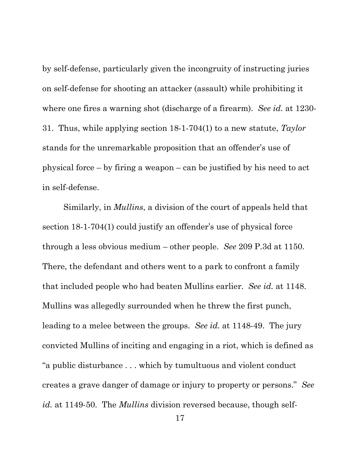by self-defense, particularly given the incongruity of instructing juries on self-defense for shooting an attacker (assault) while prohibiting it where one fires a warning shot (discharge of a firearm). *See id.* at 1230- 31. Thus, while applying section 18-1-704(1) to a new statute, *Taylor* stands for the unremarkable proposition that an offender's use of physical force – by firing a weapon – can be justified by his need to act in self-defense.

Similarly, in *Mullins*, a division of the court of appeals held that section 18-1-704(1) could justify an offender's use of physical force through a less obvious medium – other people. *See* 209 P.3d at 1150. There, the defendant and others went to a park to confront a family that included people who had beaten Mullins earlier. *See id.* at 1148. Mullins was allegedly surrounded when he threw the first punch, leading to a melee between the groups. *See id.* at 1148-49. The jury convicted Mullins of inciting and engaging in a riot, which is defined as "a public disturbance . . . which by tumultuous and violent conduct creates a grave danger of damage or injury to property or persons." *See id.* at 1149-50. The *Mullins* division reversed because, though self-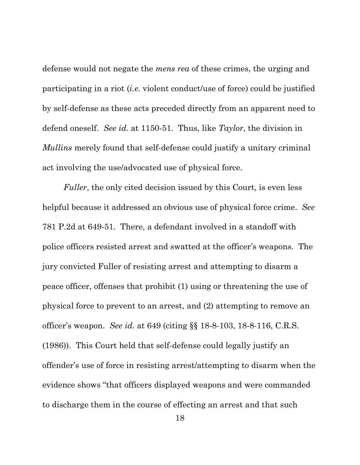defense would not negate the *mens rea* of these crimes, the urging and participating in a riot (*i.e.* violent conduct/use of force) could be justified by self-defense as these acts preceded directly from an apparent need to defend oneself. *See id.* at 1150-51. Thus, like *Taylor*, the division in *Mullins* merely found that self-defense could justify a unitary criminal act involving the use/advocated use of physical force.

*Fuller*, the only cited decision issued by this Court, is even less helpful because it addressed an obvious use of physical force crime. *See*  781 P.2d at 649-51. There, a defendant involved in a standoff with police officers resisted arrest and swatted at the officer's weapons. The jury convicted Fuller of resisting arrest and attempting to disarm a peace officer, offenses that prohibit (1) using or threatening the use of physical force to prevent to an arrest, and (2) attempting to remove an officer's weapon. *See id.* at 649 (citing §§ 18-8-103, 18-8-116, C.R.S. (1986)). This Court held that self-defense could legally justify an offender's use of force in resisting arrest/attempting to disarm when the evidence shows "that officers displayed weapons and were commanded to discharge them in the course of effecting an arrest and that such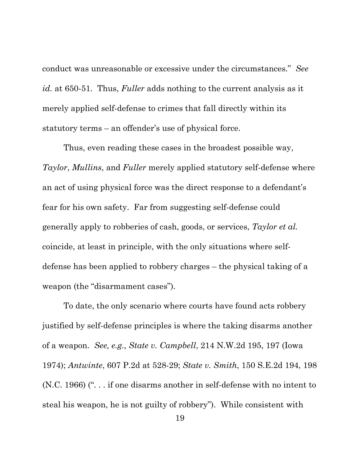conduct was unreasonable or excessive under the circumstances." *See id.* at 650-51. Thus, *Fuller* adds nothing to the current analysis as it merely applied self-defense to crimes that fall directly within its statutory terms – an offender's use of physical force.

Thus, even reading these cases in the broadest possible way, *Taylor*, *Mullins*, and *Fuller* merely applied statutory self-defense where an act of using physical force was the direct response to a defendant's fear for his own safety. Far from suggesting self-defense could generally apply to robberies of cash, goods, or services, *Taylor et al.*  coincide, at least in principle, with the only situations where selfdefense has been applied to robbery charges – the physical taking of a weapon (the "disarmament cases").

To date, the only scenario where courts have found acts robbery justified by self-defense principles is where the taking disarms another of a weapon. *See, e.g., State v. Campbell*, 214 N.W.2d 195, 197 (Iowa 1974); *Antwinte*, 607 P.2d at 528-29; *State v. Smith*, 150 S.E.2d 194, 198 (N.C. 1966) (". . . if one disarms another in self-defense with no intent to steal his weapon, he is not guilty of robbery"). While consistent with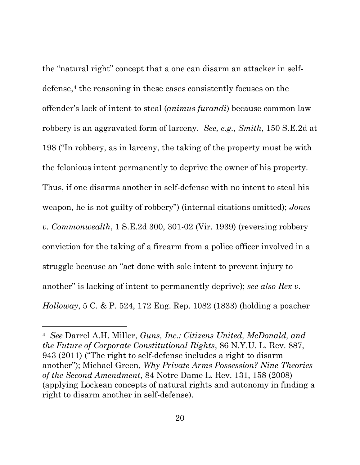the "natural right" concept that a one can disarm an attacker in self-defense,<sup>[4](#page-25-0)</sup> the reasoning in these cases consistently focuses on the offender's lack of intent to steal (*animus furandi*) because common law robbery is an aggravated form of larceny. *See, e.g., Smith*, 150 S.E.2d at 198 ("In robbery, as in larceny, the taking of the property must be with the felonious intent permanently to deprive the owner of his property. Thus, if one disarms another in self-defense with no intent to steal his weapon, he is not guilty of robbery") (internal citations omitted); *Jones v. Commonwealth*, 1 S.E.2d 300, 301-02 (Vir. 1939) (reversing robbery conviction for the taking of a firearm from a police officer involved in a struggle because an "act done with sole intent to prevent injury to another" is lacking of intent to permanently deprive); *see also Rex v. Holloway*, 5 C. & P. 524, 172 Eng. Rep. 1082 (1833) (holding a poacher

 $\overline{a}$ 

<span id="page-25-0"></span><sup>4</sup> *See* Darrel A.H. Miller, *Guns, Inc.: Citizens United, McDonald, and the Future of Corporate Constitutional Rights*, 86 N.Y.U. L. Rev. 887, 943 (2011) ("The right to self-defense includes a right to disarm another"); Michael Green, *Why Private Arms Possession? Nine Theories of the Second Amendment*, 84 Notre Dame L. Rev. 131, 158 (2008) (applying Lockean concepts of natural rights and autonomy in finding a right to disarm another in self-defense).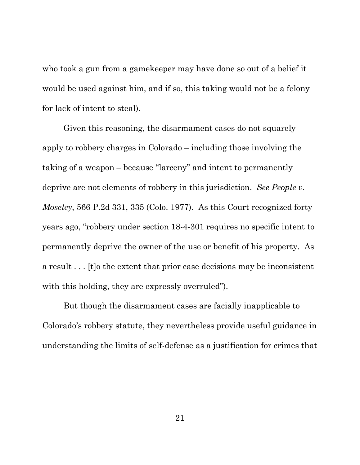who took a gun from a gamekeeper may have done so out of a belief it would be used against him, and if so, this taking would not be a felony for lack of intent to steal).

Given this reasoning, the disarmament cases do not squarely apply to robbery charges in Colorado – including those involving the taking of a weapon – because "larceny" and intent to permanently deprive are not elements of robbery in this jurisdiction. *See People v. Moseley*, 566 P.2d 331, 335 (Colo. 1977). As this Court recognized forty years ago, "robbery under section 18-4-301 requires no specific intent to permanently deprive the owner of the use or benefit of his property. As a result . . . [t]o the extent that prior case decisions may be inconsistent with this holding, they are expressly overruled".

But though the disarmament cases are facially inapplicable to Colorado's robbery statute, they nevertheless provide useful guidance in understanding the limits of self-defense as a justification for crimes that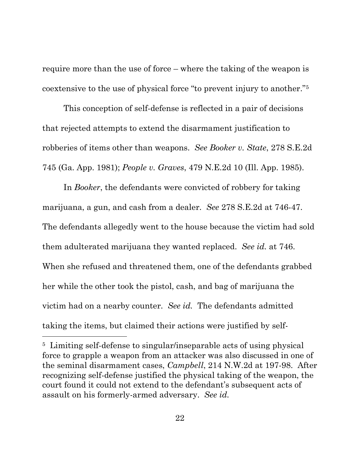require more than the use of force – where the taking of the weapon is coextensive to the use of physical force "to prevent injury to another.["5](#page-27-0)

This conception of self-defense is reflected in a pair of decisions that rejected attempts to extend the disarmament justification to robberies of items other than weapons. *See Booker v. State*, 278 S.E.2d 745 (Ga. App. 1981); *People v. Graves*, 479 N.E.2d 10 (Ill. App. 1985).

In *Booker*, the defendants were convicted of robbery for taking marijuana, a gun, and cash from a dealer. *See* 278 S.E.2d at 746-47. The defendants allegedly went to the house because the victim had sold them adulterated marijuana they wanted replaced. *See id.* at 746. When she refused and threatened them, one of the defendants grabbed her while the other took the pistol, cash, and bag of marijuana the victim had on a nearby counter. *See id.* The defendants admitted taking the items, but claimed their actions were justified by self-

 $\overline{a}$ 

<span id="page-27-0"></span><sup>5</sup> Limiting self-defense to singular/inseparable acts of using physical force to grapple a weapon from an attacker was also discussed in one of the seminal disarmament cases, *Campbell*, 214 N.W.2d at 197-98. After recognizing self-defense justified the physical taking of the weapon, the court found it could not extend to the defendant's subsequent acts of assault on his formerly-armed adversary. *See id.*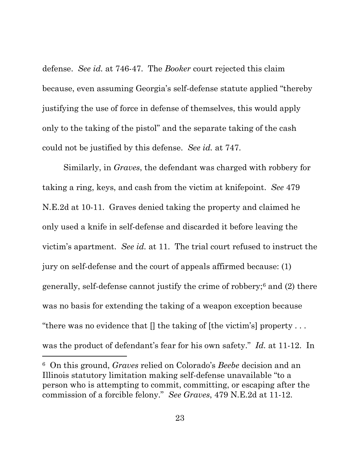defense. *See id.* at 746-47. The *Booker* court rejected this claim because, even assuming Georgia's self-defense statute applied "thereby justifying the use of force in defense of themselves, this would apply only to the taking of the pistol" and the separate taking of the cash could not be justified by this defense. *See id.* at 747.

Similarly, in *Graves*, the defendant was charged with robbery for taking a ring, keys, and cash from the victim at knifepoint. *See* 479 N.E.2d at 10-11. Graves denied taking the property and claimed he only used a knife in self-defense and discarded it before leaving the victim's apartment. *See id.* at 11. The trial court refused to instruct the jury on self-defense and the court of appeals affirmed because: (1) generally, self-defense cannot justify the crime of robbery;[6](#page-28-0) and (2) there was no basis for extending the taking of a weapon exception because "there was no evidence that  $\parallel$  the taking of [the victim's] property ... was the product of defendant's fear for his own safety." *Id.* at 11-12. In

 $\overline{a}$ 

<span id="page-28-0"></span><sup>6</sup> On this ground, *Graves* relied on Colorado's *Beebe* decision and an Illinois statutory limitation making self-defense unavailable "to a person who is attempting to commit, committing, or escaping after the commission of a forcible felony." *See Graves*, 479 N.E.2d at 11-12.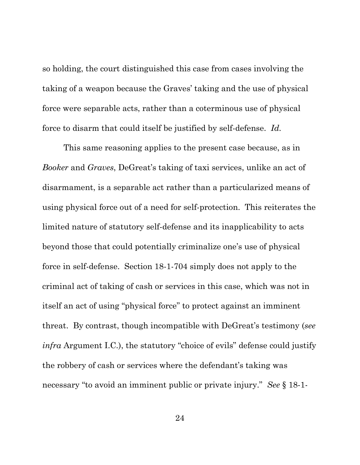so holding, the court distinguished this case from cases involving the taking of a weapon because the Graves' taking and the use of physical force were separable acts, rather than a coterminous use of physical force to disarm that could itself be justified by self-defense. *Id.*

This same reasoning applies to the present case because, as in *Booker* and *Graves*, DeGreat's taking of taxi services, unlike an act of disarmament, is a separable act rather than a particularized means of using physical force out of a need for self-protection. This reiterates the limited nature of statutory self-defense and its inapplicability to acts beyond those that could potentially criminalize one's use of physical force in self-defense. Section 18-1-704 simply does not apply to the criminal act of taking of cash or services in this case, which was not in itself an act of using "physical force" to protect against an imminent threat. By contrast, though incompatible with DeGreat's testimony (*see infra* Argument I.C.), the statutory "choice of evils" defense could justify the robbery of cash or services where the defendant's taking was necessary "to avoid an imminent public or private injury." *See* § 18-1-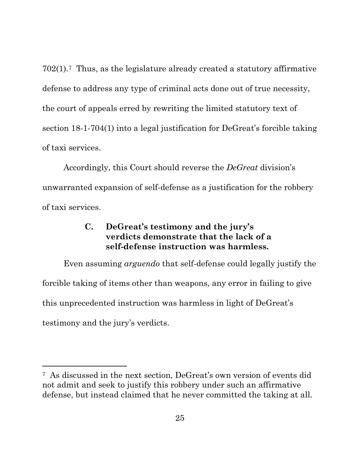702(1).[7](#page-30-1) Thus, as the legislature already created a statutory affirmative defense to address any type of criminal acts done out of true necessity, the court of appeals erred by rewriting the limited statutory text of section 18-1-704(1) into a legal justification for DeGreat's forcible taking of taxi services.

Accordingly, this Court should reverse the *DeGreat* division's unwarranted expansion of self-defense as a justification for the robbery of taxi services.

### **C. DeGreat's testimony and the jury's verdicts demonstrate that the lack of a self-defense instruction was harmless.**

<span id="page-30-0"></span>Even assuming *arguendo* that self-defense could legally justify the forcible taking of items other than weapons, any error in failing to give this unprecedented instruction was harmless in light of DeGreat's testimony and the jury's verdicts.

l

<span id="page-30-1"></span><sup>7</sup> As discussed in the next section, DeGreat's own version of events did not admit and seek to justify this robbery under such an affirmative defense, but instead claimed that he never committed the taking at all.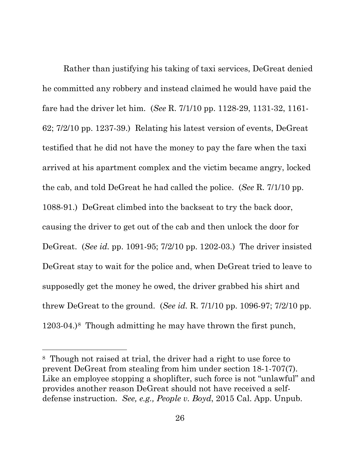Rather than justifying his taking of taxi services, DeGreat denied he committed any robbery and instead claimed he would have paid the fare had the driver let him. (*See* R. 7/1/10 pp. 1128-29, 1131-32, 1161- 62; 7/2/10 pp. 1237-39.) Relating his latest version of events, DeGreat testified that he did not have the money to pay the fare when the taxi arrived at his apartment complex and the victim became angry, locked the cab, and told DeGreat he had called the police. (*See* R. 7/1/10 pp. 1088-91.) DeGreat climbed into the backseat to try the back door, causing the driver to get out of the cab and then unlock the door for DeGreat. (*See id.* pp. 1091-95; 7/2/10 pp. 1202-03.) The driver insisted DeGreat stay to wait for the police and, when DeGreat tried to leave to supposedly get the money he owed, the driver grabbed his shirt and threw DeGreat to the ground. (*See id.* R. 7/1/10 pp. 1096-97; 7/2/10 pp. 1203-04.)[8](#page-31-0) Though admitting he may have thrown the first punch,

 $\overline{a}$ 

<span id="page-31-0"></span><sup>8</sup> Though not raised at trial, the driver had a right to use force to prevent DeGreat from stealing from him under section 18-1-707(7). Like an employee stopping a shoplifter, such force is not "unlawful" and provides another reason DeGreat should not have received a selfdefense instruction. *See, e.g., People v. Boyd*, 2015 Cal. App. Unpub.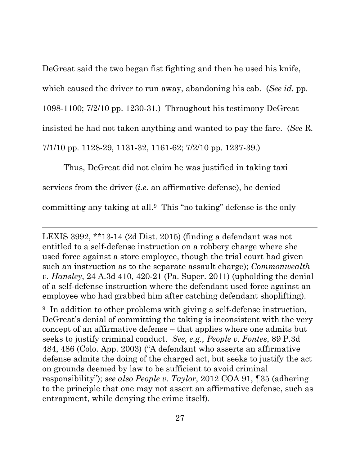DeGreat said the two began fist fighting and then he used his knife, which caused the driver to run away, abandoning his cab. (*See id.* pp. 1098-1100; 7/2/10 pp. 1230-31.) Throughout his testimony DeGreat insisted he had not taken anything and wanted to pay the fare. (*See* R. 7/1/10 pp. 1128-29, 1131-32, 1161-62; 7/2/10 pp. 1237-39.)

Thus, DeGreat did not claim he was justified in taking taxi services from the driver (*i.e.* an affirmative defense), he denied committing any taking at all.[9](#page-32-0) This "no taking" defense is the only

 $\overline{a}$ 

LEXIS 3992, \*\*13-14 (2d Dist. 2015) (finding a defendant was not entitled to a self-defense instruction on a robbery charge where she used force against a store employee, though the trial court had given such an instruction as to the separate assault charge); *Commonwealth v. Hansley*, 24 A.3d 410, 420-21 (Pa. Super. 2011) (upholding the denial of a self-defense instruction where the defendant used force against an employee who had grabbed him after catching defendant shoplifting).

<span id="page-32-0"></span><sup>9</sup> In addition to other problems with giving a self-defense instruction, DeGreat's denial of committing the taking is inconsistent with the very concept of an affirmative defense – that applies where one admits but seeks to justify criminal conduct. *See, e.g., People v. Fontes*, 89 P.3d 484, 486 (Colo. App. 2003) ("A defendant who asserts an affirmative defense admits the doing of the charged act, but seeks to justify the act on grounds deemed by law to be sufficient to avoid criminal responsibility"); *see also People v. Taylor*, 2012 COA 91, ¶35 (adhering to the principle that one may not assert an affirmative defense, such as entrapment, while denying the crime itself).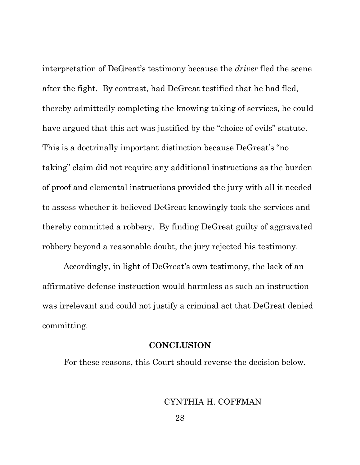interpretation of DeGreat's testimony because the *driver* fled the scene after the fight. By contrast, had DeGreat testified that he had fled, thereby admittedly completing the knowing taking of services, he could have argued that this act was justified by the "choice of evils" statute. This is a doctrinally important distinction because DeGreat's "no taking" claim did not require any additional instructions as the burden of proof and elemental instructions provided the jury with all it needed to assess whether it believed DeGreat knowingly took the services and thereby committed a robbery. By finding DeGreat guilty of aggravated robbery beyond a reasonable doubt, the jury rejected his testimony.

Accordingly, in light of DeGreat's own testimony, the lack of an affirmative defense instruction would harmless as such an instruction was irrelevant and could not justify a criminal act that DeGreat denied committing.

#### **CONCLUSION**

<span id="page-33-0"></span>For these reasons, this Court should reverse the decision below.

### CYNTHIA H. COFFMAN